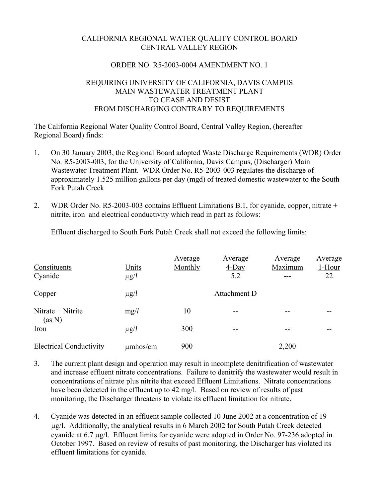# CALIFORNIA REGIONAL WATER QUALITY CONTROL BOARD CENTRAL VALLEY REGION

### ORDER NO. R5-2003-0004 AMENDMENT NO. 1

## REQUIRING UNIVERSITY OF CALIFORNIA, DAVIS CAMPUS MAIN WASTEWATER TREATMENT PLANT TO CEASE AND DESIST FROM DISCHARGING CONTRARY TO REQUIREMENTS

The California Regional Water Quality Control Board, Central Valley Region, (hereafter Regional Board) finds:

- 1. On 30 January 2003, the Regional Board adopted Waste Discharge Requirements (WDR) Order No. R5-2003-003, for the University of California, Davis Campus, (Discharger) Main Wastewater Treatment Plant. WDR Order No. R5-2003-003 regulates the discharge of approximately 1.525 million gallons per day (mgd) of treated domestic wastewater to the South Fork Putah Creek
- 2. WDR Order No. R5-2003-003 contains Effluent Limitations B.1, for cyanide, copper, nitrate + nitrite, iron and electrical conductivity which read in part as follows:

| Constituents<br>Cyanide        | Units<br>$\mu$ g/l | Average<br>Monthly | Average<br>$4$ -Day<br>5.2 | Average<br>Maximum | Average<br>1-Hour<br>22 |
|--------------------------------|--------------------|--------------------|----------------------------|--------------------|-------------------------|
| Copper                         | $\mu$ g/l          |                    | Attachment D               |                    |                         |
| Nitrate + Nitrite<br>(as N)    | mg/l               | 10                 | $- -$                      |                    |                         |
| Iron                           | $\mu$ g/l          | 300                |                            |                    |                         |
| <b>Electrical Conductivity</b> | $\mu$ mhos/cm      | 900                |                            | 2,200              |                         |

Effluent discharged to South Fork Putah Creek shall not exceed the following limits:

- 3. The current plant design and operation may result in incomplete denitrification of wastewater and increase effluent nitrate concentrations. Failure to denitrify the wastewater would result in concentrations of nitrate plus nitrite that exceed Effluent Limitations. Nitrate concentrations have been detected in the effluent up to 42 mg/l. Based on review of results of past monitoring, the Discharger threatens to violate its effluent limitation for nitrate.
- 4. Cyanide was detected in an effluent sample collected 10 June 2002 at a concentration of 19 μg/l. Additionally, the analytical results in 6 March 2002 for South Putah Creek detected cyanide at 6.7 μg/l. Effluent limits for cyanide were adopted in Order No. 97-236 adopted in October 1997. Based on review of results of past monitoring, the Discharger has violated its effluent limitations for cyanide.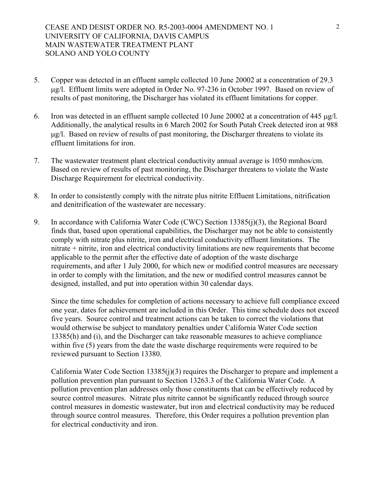- 5. Copper was detected in an effluent sample collected 10 June 20002 at a concentration of 29.3 μg/l. Effluent limits were adopted in Order No. 97-236 in October 1997. Based on review of results of past monitoring, the Discharger has violated its effluent limitations for copper.
- 6. Iron was detected in an effluent sample collected 10 June 20002 at a concentration of 445 μg/l. Additionally, the analytical results in 6 March 2002 for South Putah Creek detected iron at 988 μg/l. Based on review of results of past monitoring, the Discharger threatens to violate its effluent limitations for iron.
- 7. The wastewater treatment plant electrical conductivity annual average is 1050 mmhos/cm. Based on review of results of past monitoring, the Discharger threatens to violate the Waste Discharge Requirement for electrical conductivity.
- 8. In order to consistently comply with the nitrate plus nitrite Effluent Limitations, nitrification and denitrification of the wastewater are necessary.
- 9. In accordance with California Water Code (CWC) Section 13385(j)(3), the Regional Board finds that, based upon operational capabilities, the Discharger may not be able to consistently comply with nitrate plus nitrite, iron and electrical conductivity effluent limitations. The nitrate + nitrite, iron and electrical conductivity limitations are new requirements that become applicable to the permit after the effective date of adoption of the waste discharge requirements, and after 1 July 2000, for which new or modified control measures are necessary in order to comply with the limitation, and the new or modified control measures cannot be designed, installed, and put into operation within 30 calendar days.

Since the time schedules for completion of actions necessary to achieve full compliance exceed one year, dates for achievement are included in this Order. This time schedule does not exceed five years. Source control and treatment actions can be taken to correct the violations that would otherwise be subject to mandatory penalties under California Water Code section 13385(h) and (i), and the Discharger can take reasonable measures to achieve compliance within five (5) years from the date the waste discharge requirements were required to be reviewed pursuant to Section 13380.

California Water Code Section 13385(j)(3) requires the Discharger to prepare and implement a pollution prevention plan pursuant to Section 13263.3 of the California Water Code. A pollution prevention plan addresses only those constituents that can be effectively reduced by source control measures. Nitrate plus nitrite cannot be significantly reduced through source control measures in domestic wastewater, but iron and electrical conductivity may be reduced through source control measures. Therefore, this Order requires a pollution prevention plan for electrical conductivity and iron.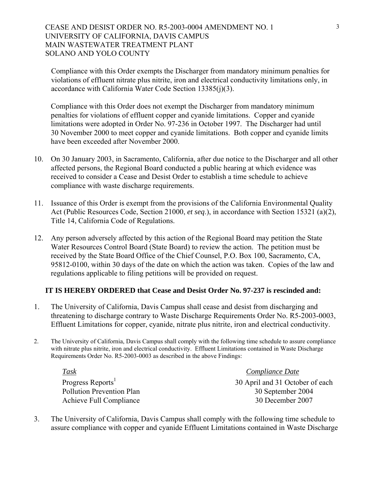CEASE AND DESIST ORDER NO. R5-2003-0004 AMENDMENT NO. 1 UNIVERSITY OF CALIFORNIA, DAVIS CAMPUS MAIN WASTEWATER TREATMENT PLANT SOLANO AND YOLO COUNTY

Compliance with this Order exempts the Discharger from mandatory minimum penalties for violations of effluent nitrate plus nitrite, iron and electrical conductivity limitations only, in accordance with California Water Code Section 13385(j)(3).

Compliance with this Order does not exempt the Discharger from mandatory minimum penalties for violations of effluent copper and cyanide limitations. Copper and cyanide limitations were adopted in Order No. 97-236 in October 1997. The Discharger had until 30 November 2000 to meet copper and cyanide limitations. Both copper and cyanide limits have been exceeded after November 2000.

- 10. On 30 January 2003, in Sacramento, California, after due notice to the Discharger and all other affected persons, the Regional Board conducted a public hearing at which evidence was received to consider a Cease and Desist Order to establish a time schedule to achieve compliance with waste discharge requirements.
- 11. Issuance of this Order is exempt from the provisions of the California Environmental Quality Act (Public Resources Code, Section 21000, *et seq*.), in accordance with Section 15321 (a)(2), Title 14, California Code of Regulations.
- 12. Any person adversely affected by this action of the Regional Board may petition the State Water Resources Control Board (State Board) to review the action. The petition must be received by the State Board Office of the Chief Counsel, P.O. Box 100, Sacramento, CA, 95812-0100, within 30 days of the date on which the action was taken. Copies of the law and regulations applicable to filing petitions will be provided on request.

### **IT IS HEREBY ORDERED that Cease and Desist Order No. 97-237 is rescinded and:**

- 1. The University of California, Davis Campus shall cease and desist from discharging and threatening to discharge contrary to Waste Discharge Requirements Order No. R5-2003-0003, Effluent Limitations for copper, cyanide, nitrate plus nitrite, iron and electrical conductivity.
- 2. The University of California, Davis Campus shall comply with the following time schedule to assure compliance with nitrate plus nitrite, iron and electrical conductivity. Effluent Limitations contained in Waste Discharge Requirements Order No. R5-2003-0003 as described in the above Findings:

*Task Compliance Date* Progress Reports<sup>1</sup> 30 April and 31 October of each Pollution Prevention Plan 30 September 2004 Achieve Full Compliance 30 December 2007

3. The University of California, Davis Campus shall comply with the following time schedule to assure compliance with copper and cyanide Effluent Limitations contained in Waste Discharge